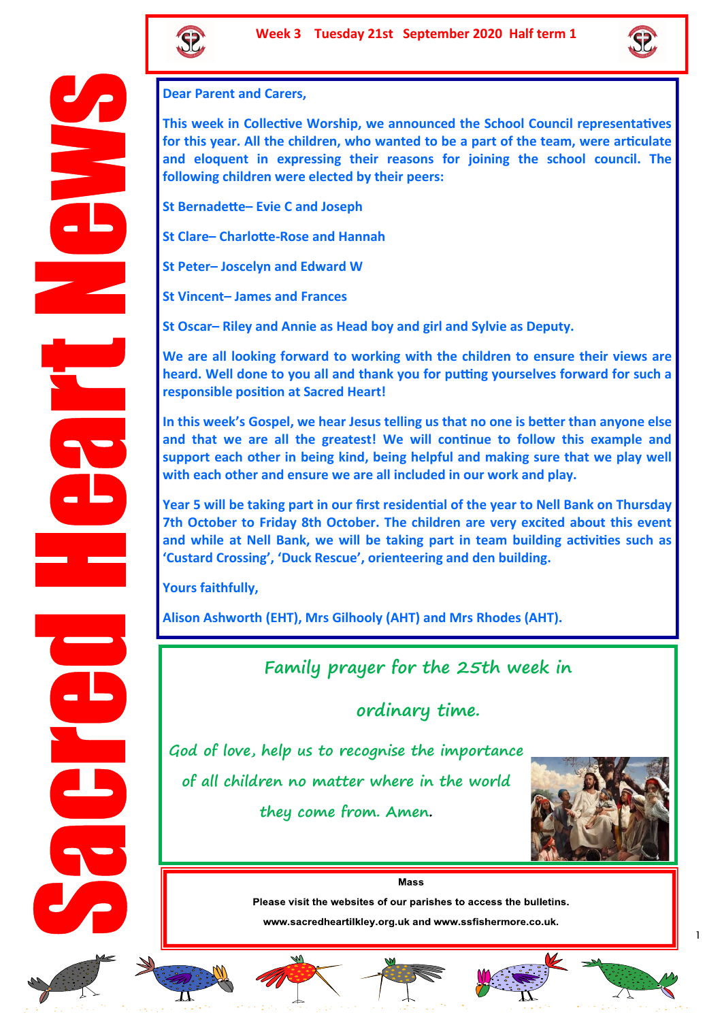



#### **Dear Parent and Carers,**

**This week in Collective Worship, we announced the School Council representatives for this year. All the children, who wanted to be a part of the team, were articulate and eloquent in expressing their reasons for joining the school council. The following children were elected by their peers:**

**St Bernadette– Evie C and Joseph**

**St Clare– Charlotte-Rose and Hannah**

**St Peter– Joscelyn and Edward W**

**St Vincent– James and Frances**

**St Oscar– Riley and Annie as Head boy and girl and Sylvie as Deputy.**

**We are all looking forward to working with the children to ensure their views are heard. Well done to you all and thank you for putting yourselves forward for such a responsible position at Sacred Heart!**

**In this week's Gospel, we hear Jesus telling us that no one is better than anyone else and that we are all the greatest! We will continue to follow this example and support each other in being kind, being helpful and making sure that we play well with each other and ensure we are all included in our work and play.** 

**Year 5 will be taking part in our first residential of the year to Nell Bank on Thursday 7th October to Friday 8th October. The children are very excited about this event and while at Nell Bank, we will be taking part in team building activities such as 'Custard Crossing', 'Duck Rescue', orienteering and den building.**

**Yours faithfully,**

**Alison Ashworth (EHT), Mrs Gilhooly (AHT) and Mrs Rhodes (AHT).**

# **Family prayer for the 25th week in**

**ordinary time.**

**God of love, help us to recognise the importance of all children no matter where in the world they come from. Amen.** 



**Mass** 

Please visit the websites of our parishes to access the bulletins.

www.sacredheartilkley.org.uk and www.ssfishermore.co.uk.













1